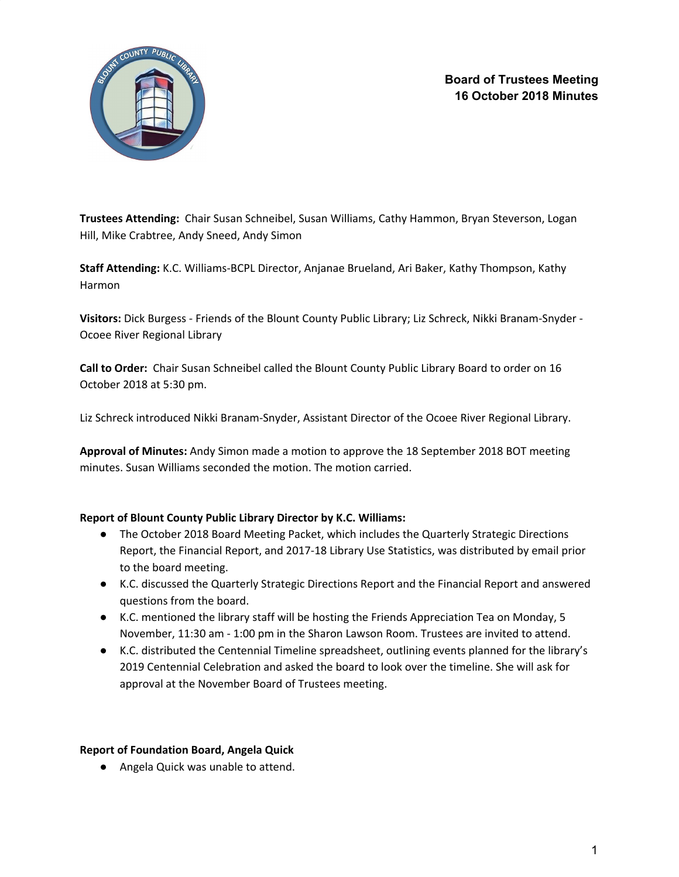

**Board of Trustees Meeting 16 October 2018 Minutes**

**Trustees Attending:** Chair Susan Schneibel, Susan Williams, Cathy Hammon, Bryan Steverson, Logan Hill, Mike Crabtree, Andy Sneed, Andy Simon

**Staff Attending:** K.C. Williams-BCPL Director, Anjanae Brueland, Ari Baker, Kathy Thompson, Kathy Harmon

**Visitors:** Dick Burgess - Friends of the Blount County Public Library; Liz Schreck, Nikki Branam-Snyder - Ocoee River Regional Library

**Call to Order:** Chair Susan Schneibel called the Blount County Public Library Board to order on 16 October 2018 at 5:30 pm.

Liz Schreck introduced Nikki Branam-Snyder, Assistant Director of the Ocoee River Regional Library.

**Approval of Minutes:** Andy Simon made a motion to approve the 18 September 2018 BOT meeting minutes. Susan Williams seconded the motion. The motion carried.

### **Report of Blount County Public Library Director by K.C. Williams:**

- The October 2018 Board Meeting Packet, which includes the Quarterly Strategic Directions Report, the Financial Report, and 2017-18 Library Use Statistics, was distributed by email prior to the board meeting.
- K.C. discussed the Quarterly Strategic Directions Report and the Financial Report and answered questions from the board.
- K.C. mentioned the library staff will be hosting the Friends Appreciation Tea on Monday, 5 November, 11:30 am - 1:00 pm in the Sharon Lawson Room. Trustees are invited to attend.
- K.C. distributed the Centennial Timeline spreadsheet, outlining events planned for the library's 2019 Centennial Celebration and asked the board to look over the timeline. She will ask for approval at the November Board of Trustees meeting.

#### **Report of Foundation Board, Angela Quick**

● Angela Quick was unable to attend.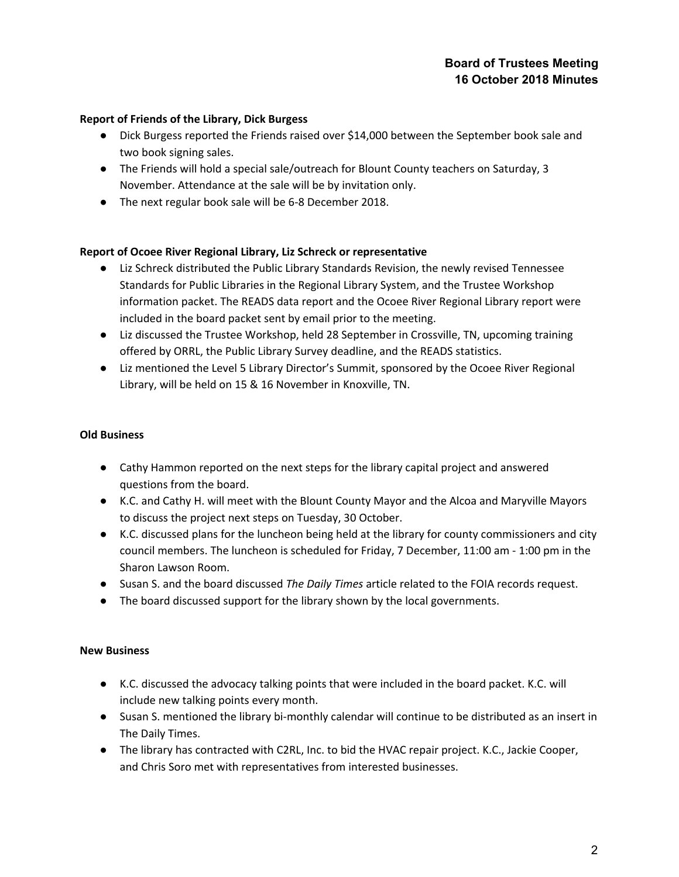## **Board of Trustees Meeting 16 October 2018 Minutes**

#### **Report of Friends of the Library, Dick Burgess**

- Dick Burgess reported the Friends raised over \$14,000 between the September book sale and two book signing sales.
- The Friends will hold a special sale/outreach for Blount County teachers on Saturday, 3 November. Attendance at the sale will be by invitation only.
- The next regular book sale will be 6-8 December 2018.

#### **Report of Ocoee River Regional Library, Liz Schreck or representative**

- Liz Schreck distributed the Public Library Standards Revision, the newly revised Tennessee Standards for Public Libraries in the Regional Library System, and the Trustee Workshop information packet. The READS data report and the Ocoee River Regional Library report were included in the board packet sent by email prior to the meeting.
- Liz discussed the Trustee Workshop, held 28 September in Crossville, TN, upcoming training offered by ORRL, the Public Library Survey deadline, and the READS statistics.
- Liz mentioned the Level 5 Library Director's Summit, sponsored by the Ocoee River Regional Library, will be held on 15 & 16 November in Knoxville, TN.

#### **Old Business**

- Cathy Hammon reported on the next steps for the library capital project and answered questions from the board.
- K.C. and Cathy H. will meet with the Blount County Mayor and the Alcoa and Maryville Mayors to discuss the project next steps on Tuesday, 30 October.
- K.C. discussed plans for the luncheon being held at the library for county commissioners and city council members. The luncheon is scheduled for Friday, 7 December, 11:00 am - 1:00 pm in the Sharon Lawson Room.
- Susan S. and the board discussed *The Daily Times* article related to the FOIA records request.
- The board discussed support for the library shown by the local governments.

#### **New Business**

- K.C. discussed the advocacy talking points that were included in the board packet. K.C. will include new talking points every month.
- Susan S. mentioned the library bi-monthly calendar will continue to be distributed as an insert in The Daily Times.
- The library has contracted with C2RL, Inc. to bid the HVAC repair project. K.C., Jackie Cooper, and Chris Soro met with representatives from interested businesses.